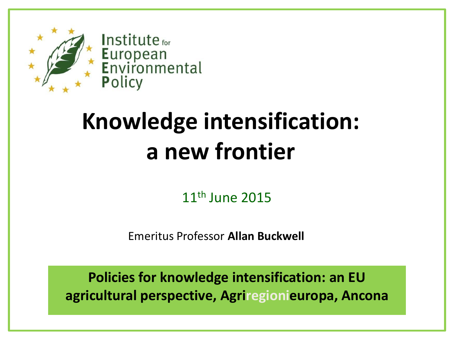

## **Knowledge intensification: a new frontier**

11th June 2015

Emeritus Professor **Allan Buckwell**

**Policies for knowledge intensification: an EU agricultural perspective, Agriregionieuropa, Ancona**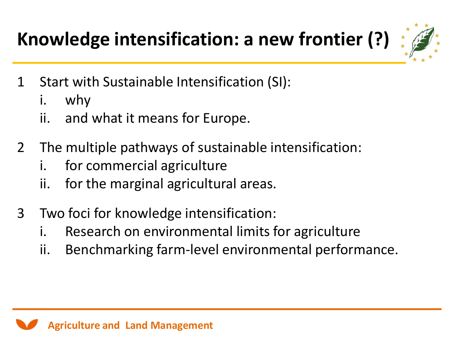**Knowledge intensification: a new frontier (?)**

- 1 Start with Sustainable Intensification (SI):
	- i. why
	- ii. and what it means for Europe.
- 2 The multiple pathways of sustainable intensification:
	- i. for commercial agriculture
	- ii. for the marginal agricultural areas.
- 3 Two foci for knowledge intensification:
	- i. Research on environmental limits for agriculture
	- ii. Benchmarking farm-level environmental performance.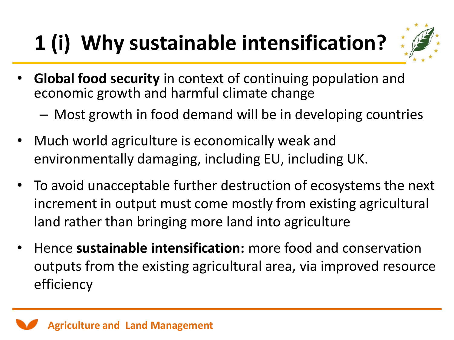## **1 (i) Why sustainable intensification?**



- **Global food security** in context of continuing population and economic growth and harmful climate change
	- Most growth in food demand will be in developing countries
- Much world agriculture is economically weak and environmentally damaging, including EU, including UK.
- To avoid unacceptable further destruction of ecosystems the next increment in output must come mostly from existing agricultural land rather than bringing more land into agriculture
- Hence **sustainable intensification:** more food and conservation outputs from the existing agricultural area, via improved resource efficiency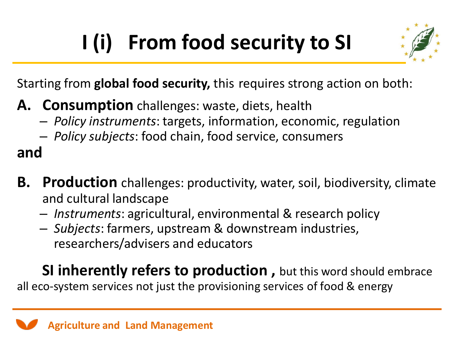# **I (i) From food security to SI**



Starting from **global food security,** this requires strong action on both:

- **A. Consumption** challenges: waste, diets, health
	- *Policy instruments*: targets, information, economic, regulation
	- *Policy subjects*: food chain, food service, consumers

#### **and**

- **B. Production** challenges: productivity, water, soil, biodiversity, climate and cultural landscape
	- *Instruments*: agricultural, environmental & research policy
	- *Subjects*: farmers, upstream & downstream industries, researchers/advisers and educators

**SI inherently refers to production, but this word should embrace** all eco-system services not just the provisioning services of food & energy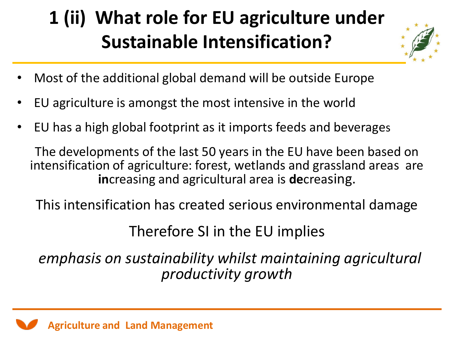### **1 (ii) What role for EU agriculture under Sustainable Intensification?**



- Most of the additional global demand will be outside Europe
- EU agriculture is amongst the most intensive in the world
- EU has a high global footprint as it imports feeds and beverages

The developments of the last 50 years in the EU have been based on intensification of agriculture: forest, wetlands and grassland areas are **in**creasing and agricultural area is **de**creasing.

This intensification has created serious environmental damage

Therefore SI in the EU implies

*emphasis on sustainability whilst maintaining agricultural productivity growth*

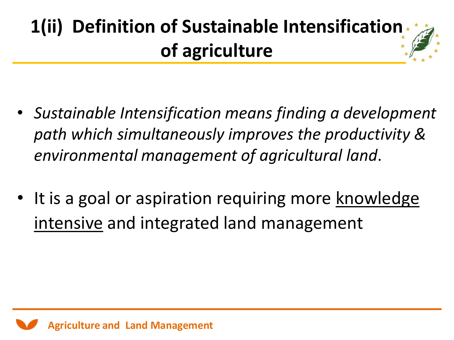## **1(ii) Definition of Sustainable Intensification of agriculture**

- *Sustainable Intensification means finding a development path which simultaneously improves the productivity & environmental management of agricultural land*.
- It is a goal or aspiration requiring more knowledge intensive and integrated land management

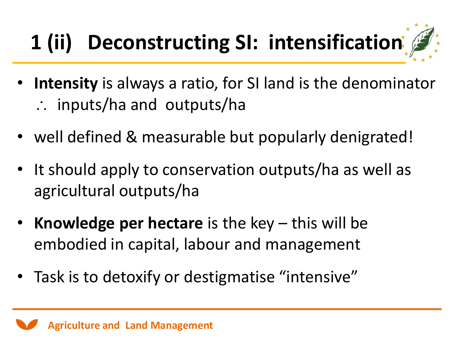# **1 (ii) Deconstructing SI: intensification**

- **Intensity** is always a ratio, for SI land is the denominator  $\therefore$  inputs/ha and outputs/ha
- well defined & measurable but popularly denigrated!
- It should apply to conservation outputs/ha as well as agricultural outputs/ha
- **Knowledge per hectare** is the key this will be embodied in capital, labour and management
- Task is to detoxify or destigmatise "intensive"

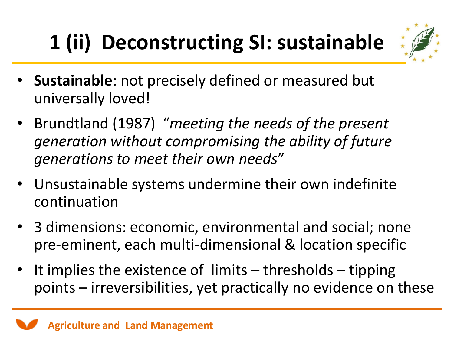# **1 (ii) Deconstructing SI: sustainable**



- **Sustainable**: not precisely defined or measured but universally loved!
- Brundtland (1987) "*meeting the needs of the present generation without compromising the ability of future generations to meet their own needs*"
- Unsustainable systems undermine their own indefinite continuation
- 3 dimensions: economic, environmental and social; none pre-eminent, each multi-dimensional & location specific
- It implies the existence of limits thresholds tipping points – irreversibilities, yet practically no evidence on these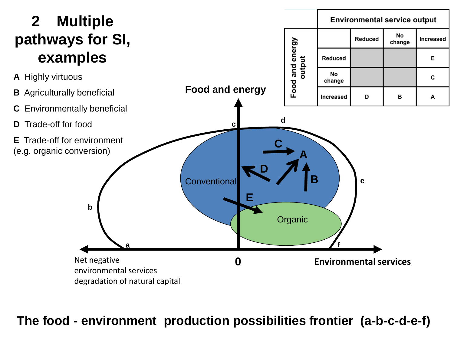#### **2 Multiple pathways for SI, examples**



**Environmental service output** 

Reduced

No

Increased

**The food - environment production possibilities frontier (a-b-c-d-e-f)**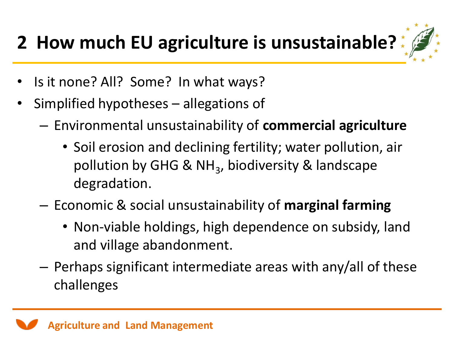### **2 How much EU agriculture is unsustainable?**



- Is it none? All? Some? In what ways?
- Simplified hypotheses allegations of
	- Environmental unsustainability of **commercial agriculture**
		- Soil erosion and declining fertility; water pollution, air pollution by GHG & NH<sub>3</sub>, biodiversity & landscape degradation.
	- Economic & social unsustainability of **marginal farming**
		- Non-viable holdings, high dependence on subsidy, land and village abandonment.
	- Perhaps significant intermediate areas with any/all of these challenges

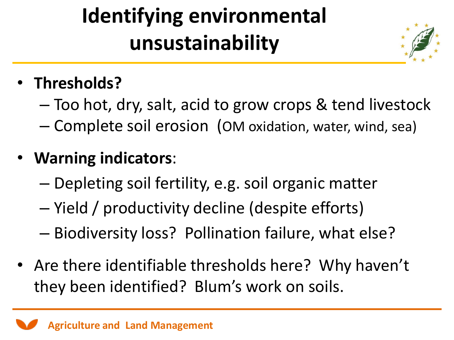## **Identifying environmental unsustainability**



### • **Thresholds?**

– Too hot, dry, salt, acid to grow crops & tend livestock – Complete soil erosion (OM oxidation, water, wind, sea)

#### • **Warning indicators**:

- Depleting soil fertility, e.g. soil organic matter
- Yield / productivity decline (despite efforts)
- Biodiversity loss? Pollination failure, what else?
- Are there identifiable thresholds here? Why haven't they been identified? Blum's work on soils.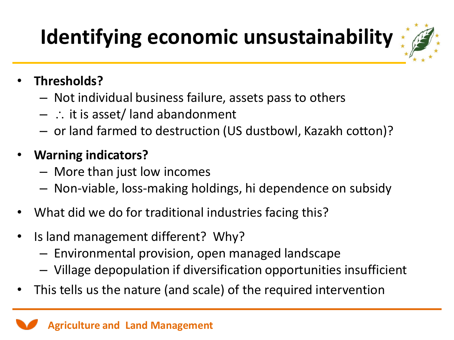## **Identifying economic unsustainability**

- **Thresholds?**
	- Not individual business failure, assets pass to others
	- $-$  : it is asset/ land abandonment
	- or land farmed to destruction (US dustbowl, Kazakh cotton)?
- **Warning indicators?** 
	- More than just low incomes
	- Non-viable, loss-making holdings, hi dependence on subsidy
- What did we do for traditional industries facing this?
- Is land management different? Why?
	- Environmental provision, open managed landscape
	- Village depopulation if diversification opportunities insufficient
- This tells us the nature (and scale) of the required intervention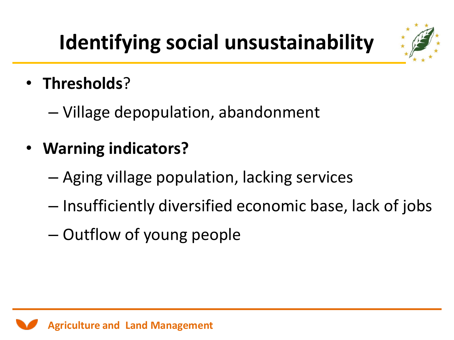## **Identifying social unsustainability**



- **Thresholds**?
	- Village depopulation, abandonment
- **Warning indicators?**
	- Aging village population, lacking services
	- Insufficiently diversified economic base, lack of jobs
	- Outflow of young people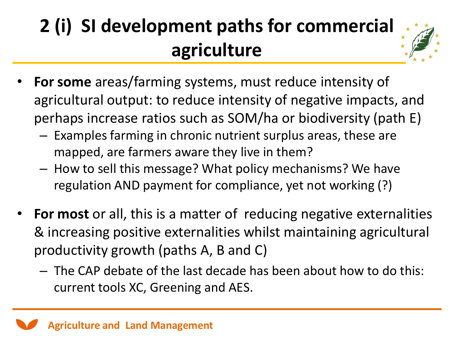## **2 (i) SI development paths for commercial agriculture**



- **For some** areas/farming systems, must reduce intensity of agricultural output: to reduce intensity of negative impacts, and perhaps increase ratios such as SOM/ha or biodiversity (path E)
	- Examples farming in chronic nutrient surplus areas, these are mapped, are farmers aware they live in them?
	- How to sell this message? What policy mechanisms? We have regulation AND payment for compliance, yet not working (?)
- **For most** or all, this is a matter of reducing negative externalities & increasing positive externalities whilst maintaining agricultural productivity growth (paths A, B and C)
	- The CAP debate of the last decade has been about how to do this: current tools XC, Greening and AES.

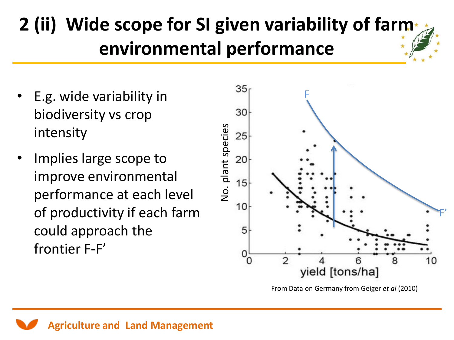### **2 (ii) Wide scope for SI given variability of farm environmental performance**

- E.g. wide variability in biodiversity vs crop intensity
- Implies large scope to improve environmental performance at each level of productivity if each farm could approach the frontier F-F'



From Data on Germany from Geiger *et al* (2010)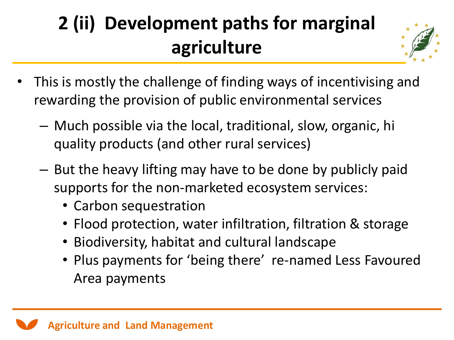## **2 (ii) Development paths for marginal agriculture**



- This is mostly the challenge of finding ways of incentivising and rewarding the provision of public environmental services
	- Much possible via the local, traditional, slow, organic, hi quality products (and other rural services)
	- But the heavy lifting may have to be done by publicly paid supports for the non-marketed ecosystem services:
		- Carbon sequestration
		- Flood protection, water infiltration, filtration & storage
		- Biodiversity, habitat and cultural landscape
		- Plus payments for 'being there' re-named Less Favoured Area payments

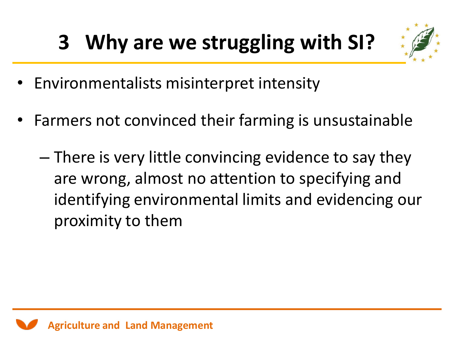## **3 Why are we struggling with SI?**



- Environmentalists misinterpret intensity
- Farmers not convinced their farming is unsustainable
	- There is very little convincing evidence to say they are wrong, almost no attention to specifying and identifying environmental limits and evidencing our proximity to them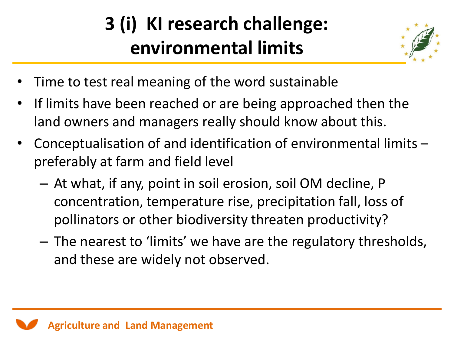## **3 (i) KI research challenge: environmental limits**



- Time to test real meaning of the word sustainable
- If limits have been reached or are being approached then the land owners and managers really should know about this.
- Conceptualisation of and identification of environmental limits preferably at farm and field level
	- At what, if any, point in soil erosion, soil OM decline, P concentration, temperature rise, precipitation fall, loss of pollinators or other biodiversity threaten productivity?
	- The nearest to 'limits' we have are the regulatory thresholds, and these are widely not observed.

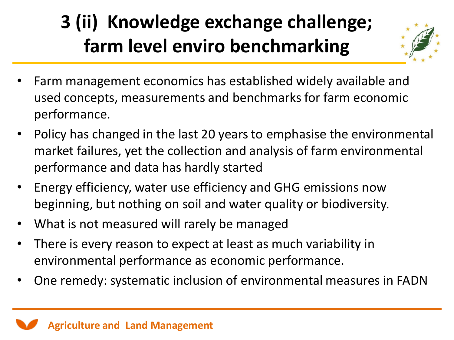### **3 (ii) Knowledge exchange challenge; farm level enviro benchmarking**



- Farm management economics has established widely available and used concepts, measurements and benchmarks for farm economic performance.
- Policy has changed in the last 20 years to emphasise the environmental market failures, yet the collection and analysis of farm environmental performance and data has hardly started
- Energy efficiency, water use efficiency and GHG emissions now beginning, but nothing on soil and water quality or biodiversity.
- What is not measured will rarely be managed
- There is every reason to expect at least as much variability in environmental performance as economic performance.
- One remedy: systematic inclusion of environmental measures in FADN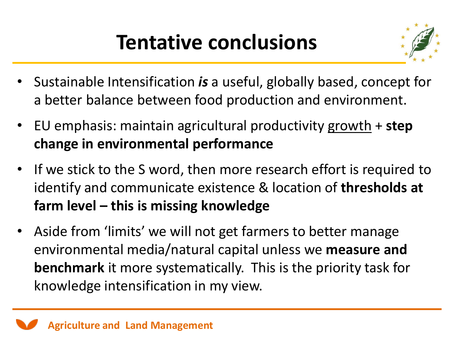## **Tentative conclusions**



- Sustainable Intensification *is* a useful, globally based, concept for a better balance between food production and environment.
- EU emphasis: maintain agricultural productivity growth + **step change in environmental performance**
- If we stick to the S word, then more research effort is required to identify and communicate existence & location of **thresholds at farm level – this is missing knowledge**
- Aside from 'limits' we will not get farmers to better manage environmental media/natural capital unless we **measure and benchmark** it more systematically. This is the priority task for knowledge intensification in my view.